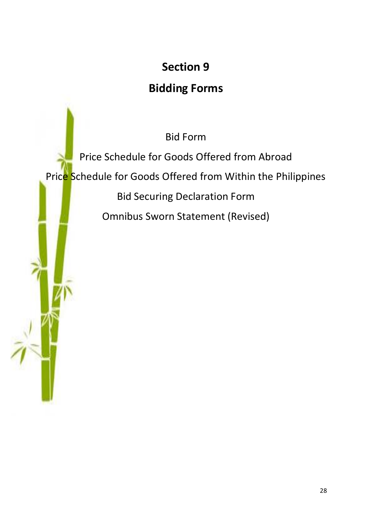# **Section 9**

# **Bidding Forms**

Bid Form

Price Schedule for Goods Offered from Abroad Price Schedule for Goods Offered from Within the Philippines Bid Securing Declaration Form Omnibus Sworn Statement (Revised)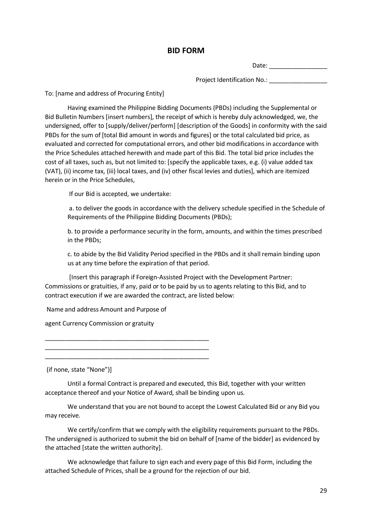## **BID FORM**

Date: \_\_\_\_\_\_\_\_\_\_\_\_\_\_\_\_\_

Project Identification No.:

To: [name and address of Procuring Entity]

Having examined the Philippine Bidding Documents (PBDs) including the Supplemental or Bid Bulletin Numbers [insert numbers], the receipt of which is hereby duly acknowledged, we, the undersigned, offer to [supply/deliver/perform] [description of the Goods] in conformity with the said PBDs for the sum of [total Bid amount in words and figures] or the total calculated bid price, as evaluated and corrected for computational errors, and other bid modifications in accordance with the Price Schedules attached herewith and made part of this Bid. The total bid price includes the cost of all taxes, such as, but not limited to: [specify the applicable taxes, e.g. (i) value added tax (VAT), (ii) income tax, (iii) local taxes, and (iv) other fiscal levies and duties], which are itemized herein or in the Price Schedules,

If our Bid is accepted, we undertake:

a. to deliver the goods in accordance with the delivery schedule specified in the Schedule of Requirements of the Philippine Bidding Documents (PBDs);

b. to provide a performance security in the form, amounts, and within the times prescribed in the PBDs;

c. to abide by the Bid Validity Period specified in the PBDs and it shall remain binding upon us at any time before the expiration of that period.

[Insert this paragraph if Foreign-Assisted Project with the Development Partner: Commissions or gratuities, if any, paid or to be paid by us to agents relating to this Bid, and to contract execution if we are awarded the contract, are listed below:

Name and address Amount and Purpose of

agent Currency Commission or gratuity

\_\_\_\_\_\_\_\_\_\_\_\_\_\_\_\_\_\_\_\_\_\_\_\_\_\_\_\_\_\_\_\_\_\_\_\_\_\_\_\_\_\_\_\_\_\_\_\_

\_\_\_\_\_\_\_\_\_\_\_\_\_\_\_\_\_\_\_\_\_\_\_\_\_\_\_\_\_\_\_\_\_\_\_\_\_\_\_\_\_\_\_\_\_\_\_\_ \_\_\_\_\_\_\_\_\_\_\_\_\_\_\_\_\_\_\_\_\_\_\_\_\_\_\_\_\_\_\_\_\_\_\_\_\_\_\_\_\_\_\_\_\_\_\_\_

(if none, state "None")]

Until a formal Contract is prepared and executed, this Bid, together with your written acceptance thereof and your Notice of Award, shall be binding upon us.

We understand that you are not bound to accept the Lowest Calculated Bid or any Bid you may receive.

We certify/confirm that we comply with the eligibility requirements pursuant to the PBDs. The undersigned is authorized to submit the bid on behalf of [name of the bidder] as evidenced by the attached [state the written authority].

We acknowledge that failure to sign each and every page of this Bid Form, including the attached Schedule of Prices, shall be a ground for the rejection of our bid.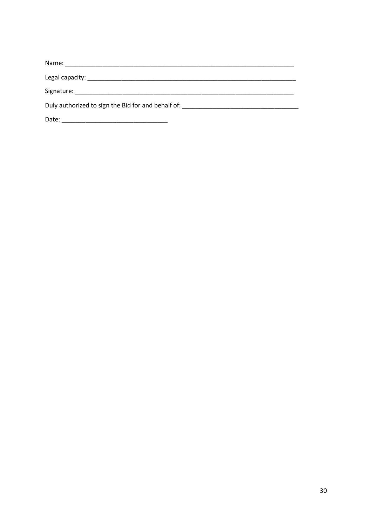| Duly authorized to sign the Bid for and behalf of: _____________________________                                               |  |
|--------------------------------------------------------------------------------------------------------------------------------|--|
| Date:<br><u> 1980 - Jan James James, martin amerikan basar dan berasal dalam pengaran basar dalam personal dan basar dalam</u> |  |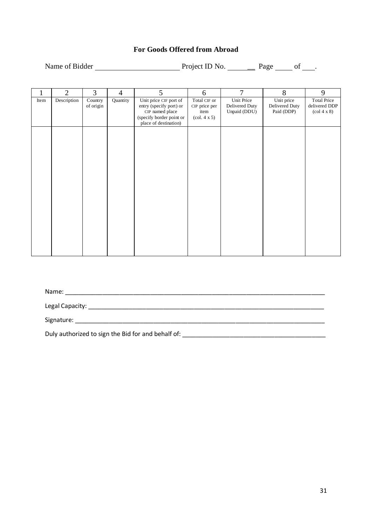# **For Goods Offered from Abroad**

| Name of Bidder | Project ID No. | Page |  |
|----------------|----------------|------|--|
|                |                |      |  |

|      | $\overline{2}$ | 3                    | $\overline{4}$ | 5                                                                                                                         | 6                                                                               | $\overline{7}$                               | 8                                          | 9                                                                            |
|------|----------------|----------------------|----------------|---------------------------------------------------------------------------------------------------------------------------|---------------------------------------------------------------------------------|----------------------------------------------|--------------------------------------------|------------------------------------------------------------------------------|
| Item | Description    | Country<br>of origin | Quantity       | Unit price CIF port of<br>entry (specify port) or<br>CIP named place<br>(specify border point or<br>place of destination) | Total CIF or<br>CIP price per<br>item<br>$\left(\text{col. } 4 \times 5\right)$ | Unit Price<br>Delivered Duty<br>Unpaid (DDU) | Unit price<br>Delivered Duty<br>Paid (DDP) | <b>Total Price</b><br>delivered DDP<br>$\left(\text{col } 4 \times 8\right)$ |
|      |                |                      |                |                                                                                                                           |                                                                                 |                                              |                                            |                                                                              |
|      |                |                      |                |                                                                                                                           |                                                                                 |                                              |                                            |                                                                              |
|      |                |                      |                |                                                                                                                           |                                                                                 |                                              |                                            |                                                                              |
|      |                |                      |                |                                                                                                                           |                                                                                 |                                              |                                            |                                                                              |
|      |                |                      |                |                                                                                                                           |                                                                                 |                                              |                                            |                                                                              |

Name: \_\_\_\_\_\_\_\_\_\_\_\_\_\_\_\_\_\_\_\_\_\_\_\_\_\_\_\_\_\_\_\_\_\_\_\_\_\_\_\_\_\_\_\_\_\_\_\_\_\_\_\_\_\_\_\_\_\_\_\_\_\_\_\_\_\_\_\_\_\_\_\_\_\_\_\_

Legal Capacity: \_\_\_\_\_\_\_\_\_\_\_\_\_\_\_\_\_\_\_\_\_\_\_\_\_\_\_\_\_\_\_\_\_\_\_\_\_\_\_\_\_\_\_\_\_\_\_\_\_\_\_\_\_\_\_\_\_\_\_\_\_\_\_\_\_\_\_\_\_

Signature: \_\_\_\_\_\_\_\_\_\_\_\_\_\_\_\_\_\_\_\_\_\_\_\_\_\_\_\_\_\_\_\_\_\_\_\_\_\_\_\_\_\_\_\_\_\_\_\_\_\_\_\_\_\_\_\_\_\_\_\_\_\_\_\_\_\_\_\_\_\_\_\_\_

Duly authorized to sign the Bid for and behalf of: \_\_\_\_\_\_\_\_\_\_\_\_\_\_\_\_\_\_\_\_\_\_\_\_\_\_\_\_\_\_\_\_\_\_\_\_\_\_\_\_\_\_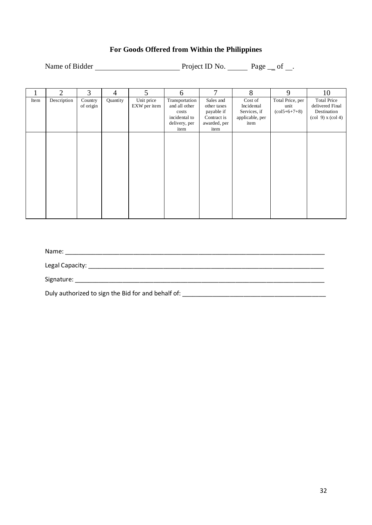# **For Goods Offered from Within the Philippines**

Name of Bidder Project ID No. Page \_\_ of \_\_.

|      | $\overline{2}$ | 3         | $\overline{4}$ | 5            | 6              | 7            | 8               | 9                                 | 10                                                          |
|------|----------------|-----------|----------------|--------------|----------------|--------------|-----------------|-----------------------------------|-------------------------------------------------------------|
| Item | Description    | Country   | Quantity       | Unit price   | Transportation | Sales and    | Cost of         | Total Price, per                  | <b>Total Price</b>                                          |
|      |                | of origin |                | EXW per item | and all other  | other taxes  | Incidental      | unit                              | delivered Final                                             |
|      |                |           |                |              | costs          | payable if   | Services, if    | $\left(\frac{15+6+7+8}{2}\right)$ | Destination                                                 |
|      |                |           |                |              | incidental to  | Contract is  | applicable, per |                                   | $\left(\text{col } 9\right)$ x $\left(\text{col } 4\right)$ |
|      |                |           |                |              | delivery, per  | awarded, per | item            |                                   |                                                             |
|      |                |           |                |              | item           | item         |                 |                                   |                                                             |
|      |                |           |                |              |                |              |                 |                                   |                                                             |
|      |                |           |                |              |                |              |                 |                                   |                                                             |
|      |                |           |                |              |                |              |                 |                                   |                                                             |
|      |                |           |                |              |                |              |                 |                                   |                                                             |
|      |                |           |                |              |                |              |                 |                                   |                                                             |
|      |                |           |                |              |                |              |                 |                                   |                                                             |
|      |                |           |                |              |                |              |                 |                                   |                                                             |
|      |                |           |                |              |                |              |                 |                                   |                                                             |
|      |                |           |                |              |                |              |                 |                                   |                                                             |
|      |                |           |                |              |                |              |                 |                                   |                                                             |
|      |                |           |                |              |                |              |                 |                                   |                                                             |
|      |                |           |                |              |                |              |                 |                                   |                                                             |
|      |                |           |                |              |                |              |                 |                                   |                                                             |
|      |                |           |                |              |                |              |                 |                                   |                                                             |
|      |                |           |                |              |                |              |                 |                                   |                                                             |

Name: \_\_\_\_\_\_\_\_\_\_\_\_\_\_\_\_\_\_\_\_\_\_\_\_\_\_\_\_\_\_\_\_\_\_\_\_\_\_\_\_\_\_\_\_\_\_\_\_\_\_\_\_\_\_\_\_\_\_\_\_\_\_\_\_\_\_\_\_\_\_\_\_\_\_\_\_

Legal Capacity: \_\_\_\_\_\_\_\_\_\_\_\_\_\_\_\_\_\_\_\_\_\_\_\_\_\_\_\_\_\_\_\_\_\_\_\_\_\_\_\_\_\_\_\_\_\_\_\_\_\_\_\_\_\_\_\_\_\_\_\_\_\_\_\_\_\_\_\_\_

Signature: \_\_\_\_\_\_\_\_\_\_\_\_\_\_\_\_\_\_\_\_\_\_\_\_\_\_\_\_\_\_\_\_\_\_\_\_\_\_\_\_\_\_\_\_\_\_\_\_\_\_\_\_\_\_\_\_\_\_\_\_\_\_\_\_\_\_\_\_\_\_\_\_\_

Duly authorized to sign the Bid for and behalf of: \_\_\_\_\_\_\_\_\_\_\_\_\_\_\_\_\_\_\_\_\_\_\_\_\_\_\_\_\_\_\_\_\_\_\_\_\_\_\_\_\_\_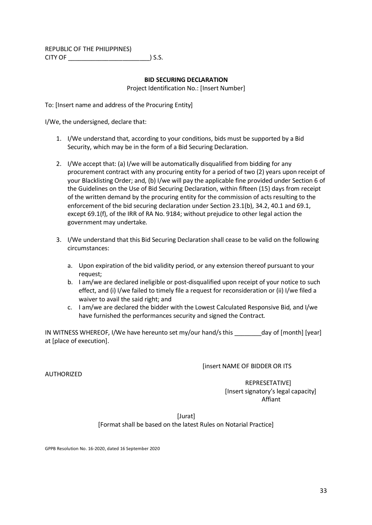REPUBLIC OF THE PHILIPPINES) CITY OF \_\_\_\_\_\_\_\_\_\_\_\_\_\_\_\_\_\_\_\_\_\_\_\_) S.S.

#### **BID SECURING DECLARATION**

Project Identification No.: [Insert Number]

To: [Insert name and address of the Procuring Entity]

I/We, the undersigned, declare that:

- 1. I/We understand that, according to your conditions, bids must be supported by a Bid Security, which may be in the form of a Bid Securing Declaration.
- 2. I/We accept that: (a) I/we will be automatically disqualified from bidding for any procurement contract with any procuring entity for a period of two (2) years upon receipt of your Blacklisting Order; and, (b) I/we will pay the applicable fine provided under Section 6 of the Guidelines on the Use of Bid Securing Declaration, within fifteen (15) days from receipt of the written demand by the procuring entity for the commission of acts resulting to the enforcement of the bid securing declaration under Section 23.1(b), 34.2, 40.1 and 69.1, except 69.1(f), of the IRR of RA No. 9184; without prejudice to other legal action the government may undertake.
- 3. I/We understand that this Bid Securing Declaration shall cease to be valid on the following circumstances:
	- a. Upon expiration of the bid validity period, or any extension thereof pursuant to your request;
	- b. I am/we are declared ineligible or post-disqualified upon receipt of your notice to such effect, and (i) I/we failed to timely file a request for reconsideration or (ii) I/we filed a waiver to avail the said right; and
	- c. I am/we are declared the bidder with the Lowest Calculated Responsive Bid, and I/we have furnished the performances security and signed the Contract.

IN WITNESS WHEREOF, I/We have hereunto set my/our hand/s this \_\_\_\_\_\_\_\_day of [month] [year] at [place of execution].

#### [insert NAME OF BIDDER OR ITS

#### AUTHORIZED

 REPRESETATIVE] [Insert signatory's legal capacity] Affiant

[Jurat]

[Format shall be based on the latest Rules on Notarial Practice]

GPPB Resolution No. 16-2020, dated 16 September 2020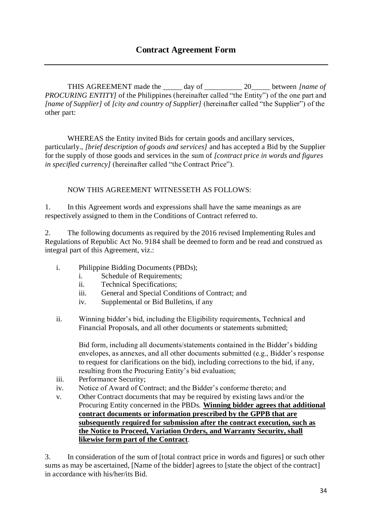THIS AGREEMENT made the \_\_\_\_\_ day of \_\_\_\_\_\_\_\_\_\_ 20\_\_\_\_\_ between *[name of PROCURING ENTITY* of the Philippines (hereinafter called "the Entity") of the one part and *[name of Supplier]* of *[city and country of Supplier]* (hereinafter called "the Supplier") of the other part:

WHEREAS the Entity invited Bids for certain goods and ancillary services, particularly., *[brief description of goods and services]* and has accepted a Bid by the Supplier for the supply of those goods and services in the sum of *[contract price in words and figures in specified currency]* (hereinafter called "the Contract Price").

# NOW THIS AGREEMENT WITNESSETH AS FOLLOWS:

1. In this Agreement words and expressions shall have the same meanings as are respectively assigned to them in the Conditions of Contract referred to.

2. The following documents as required by the 2016 revised Implementing Rules and Regulations of Republic Act No. 9184 shall be deemed to form and be read and construed as integral part of this Agreement, viz.:

- i. Philippine Bidding Documents (PBDs);
	- i. Schedule of Requirements;
	- ii. Technical Specifications;
	- iii. General and Special Conditions of Contract; and
	- iv. Supplemental or Bid Bulletins, if any
- ii. Winning bidder's bid, including the Eligibility requirements, Technical and Financial Proposals, and all other documents or statements submitted;

Bid form, including all documents/statements contained in the Bidder's bidding envelopes, as annexes, and all other documents submitted (e.g., Bidder's response to request for clarifications on the bid), including corrections to the bid, if any, resulting from the Procuring Entity's bid evaluation;

- iii. Performance Security;
- iv. Notice of Award of Contract; and the Bidder's conforme thereto; and
- v. Other Contract documents that may be required by existing laws and/or the Procuring Entity concerned in the PBDs. **Winning bidder agrees that additional contract documents or information prescribed by the GPPB that are subsequently required for submission after the contract execution, such as the Notice to Proceed, Variation Orders, and Warranty Security, shall likewise form part of the Contract**.

3. In consideration of the sum of [total contract price in words and figures] or such other sums as may be ascertained, [Name of the bidder] agrees to [state the object of the contract] in accordance with his/her/its Bid.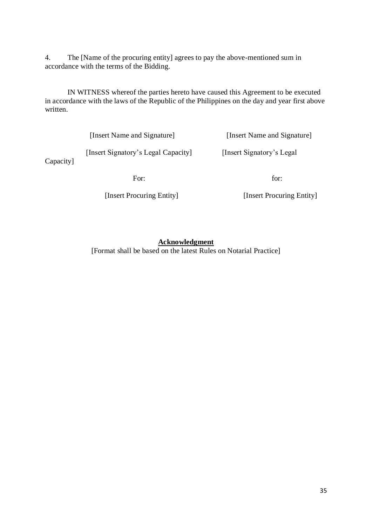4. The [Name of the procuring entity] agrees to pay the above-mentioned sum in accordance with the terms of the Bidding.

IN WITNESS whereof the parties hereto have caused this Agreement to be executed in accordance with the laws of the Republic of the Philippines on the day and year first above written.

 [Insert Name and Signature] [Insert Name and Signature] [Insert Signatory's Legal Capacity] [Insert Signatory's Legal For: for:

Capacity]

[Insert Procuring Entity] [Insert Procuring Entity]

### **Acknowledgment**

[Format shall be based on the latest Rules on Notarial Practice]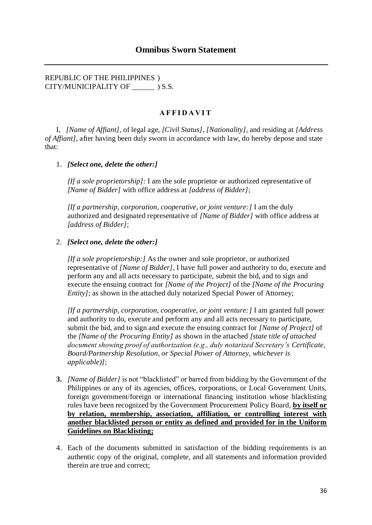REPUBLIC OF THE PHILIPPINES ) CITY/MUNICIPALITY OF \_\_\_\_\_\_ ) S.S.

### **A F F I D A V I T**

I, *[Name of Affiant]*, of legal age, *[Civil Status]*, *[Nationality]*, and residing at *[Address of Affiant]*, after having been duly sworn in accordance with law, do hereby depose and state that:

#### 1. *[Select one, delete the other:]*

*[If a sole proprietorship]:* I am the sole proprietor or authorized representative of *[Name of Bidder]* with office address at *[address of Bidder]*;

*[If a partnership, corporation, cooperative, or joint venture:]* I am the duly authorized and designated representative of *[Name of Bidder]* with office address at *[address of Bidder]*;

#### 2. *[Select one, delete the other:]*

*[If a sole proprietorship:]* As the owner and sole proprietor, or authorized representative of *[Name of Bidder]*, I have full power and authority to do, execute and perform any and all acts necessary to participate, submit the bid, and to sign and execute the ensuing contract for *[Name of the Project]* of the *[Name of the Procuring Entity]*; as shown in the attached duly notarized Special Power of Attorney;

*[If a partnership, corporation, cooperative, or joint venture:]* I am granted full power and authority to do, execute and perform any and all acts necessary to participate, submit the bid, and to sign and execute the ensuing contract for *[Name of Project]* of the *[Name of the Procuring Entity]* as shown in the attached *[state title of attached document showing proof of authorization (e.g., duly notarized Secretary's Certificate, Board/Partnership Resolution, or Special Power of Attorney, whichever is applicable)]*;

- **3.** *[Name of Bidder]* is not "blacklisted" or barred from bidding by the Government of the Philippines or any of its agencies, offices, corporations, or Local Government Units, foreign government/foreign or international financing institution whose blacklisting rules have been recognized by the Government Procurement Policy Board, **by itself or by relation, membership, association, affiliation, or controlling interest with another blacklisted person or entity as defined and provided for in the Uniform Guidelines on Blacklisting;**
- 4. Each of the documents submitted in satisfaction of the bidding requirements is an authentic copy of the original, complete, and all statements and information provided therein are true and correct;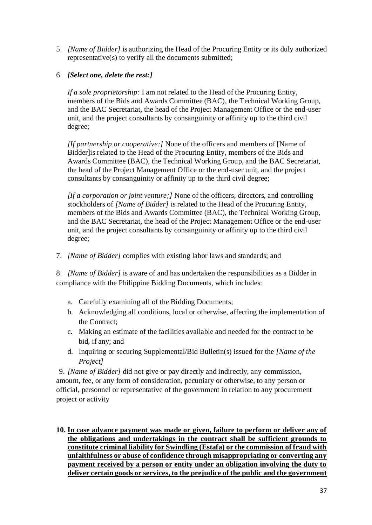5. *[Name of Bidder]* is authorizing the Head of the Procuring Entity or its duly authorized representative(s) to verify all the documents submitted;

## 6. *[Select one, delete the rest:]*

*If a sole proprietorship:* I am not related to the Head of the Procuring Entity, members of the Bids and Awards Committee (BAC), the Technical Working Group, and the BAC Secretariat, the head of the Project Management Office or the end-user unit, and the project consultants by consanguinity or affinity up to the third civil degree;

*[If partnership or cooperative:]* None of the officers and members of [Name of Bidder]is related to the Head of the Procuring Entity, members of the Bids and Awards Committee (BAC), the Technical Working Group, and the BAC Secretariat, the head of the Project Management Office or the end-user unit, and the project consultants by consanguinity or affinity up to the third civil degree;

*[If a corporation or joint venture;]* None of the officers, directors, and controlling stockholders of *[Name of Bidder]* is related to the Head of the Procuring Entity, members of the Bids and Awards Committee (BAC), the Technical Working Group, and the BAC Secretariat, the head of the Project Management Office or the end-user unit, and the project consultants by consanguinity or affinity up to the third civil degree;

7. *[Name of Bidder]* complies with existing labor laws and standards; and

8. *[Name of Bidder]* is aware of and has undertaken the responsibilities as a Bidder in compliance with the Philippine Bidding Documents, which includes:

- a. Carefully examining all of the Bidding Documents;
- b. Acknowledging all conditions, local or otherwise, affecting the implementation of the Contract;
- c. Making an estimate of the facilities available and needed for the contract to be bid, if any; and
- d. Inquiring or securing Supplemental/Bid Bulletin(s) issued for the *[Name of the Project]*

9. *[Name of Bidder]* did not give or pay directly and indirectly, any commission, amount, fee, or any form of consideration, pecuniary or otherwise, to any person or official, personnel or representative of the government in relation to any procurement project or activity

**10. In case advance payment was made or given, failure to perform or deliver any of the obligations and undertakings in the contract shall be sufficient grounds to constitute criminal liability for Swindling (Estafa) or the commission of fraud with unfaithfulness or abuse of confidence through misappropriating or converting any payment received by a person or entity under an obligation involving the duty to deliver certain goods or services, to the prejudice of the public and the government**